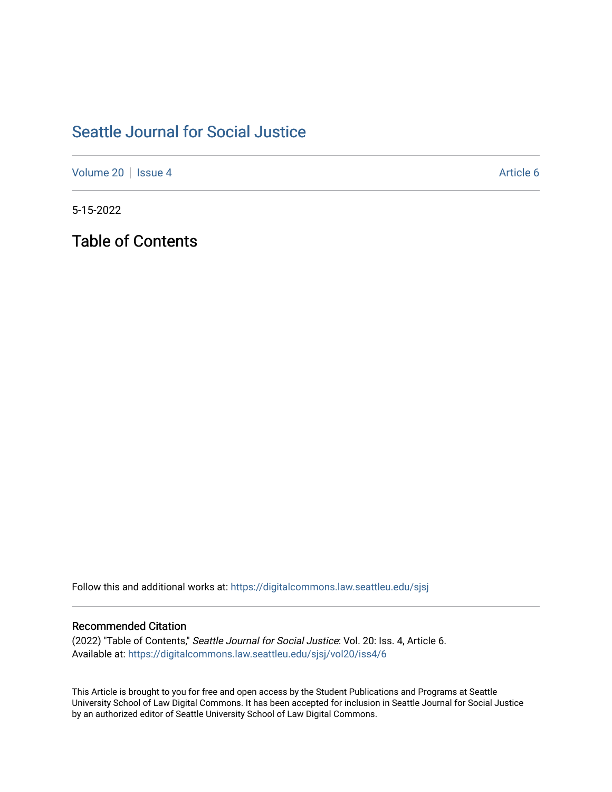## [Seattle Journal for Social Justice](https://digitalcommons.law.seattleu.edu/sjsj)

[Volume 20](https://digitalcommons.law.seattleu.edu/sjsj/vol20) | [Issue 4](https://digitalcommons.law.seattleu.edu/sjsj/vol20/iss4) Article 6

5-15-2022

Table of Contents

Follow this and additional works at: [https://digitalcommons.law.seattleu.edu/sjsj](https://digitalcommons.law.seattleu.edu/sjsj?utm_source=digitalcommons.law.seattleu.edu%2Fsjsj%2Fvol20%2Fiss4%2F6&utm_medium=PDF&utm_campaign=PDFCoverPages)

## Recommended Citation

(2022) "Table of Contents," Seattle Journal for Social Justice: Vol. 20: Iss. 4, Article 6. Available at: [https://digitalcommons.law.seattleu.edu/sjsj/vol20/iss4/6](https://digitalcommons.law.seattleu.edu/sjsj/vol20/iss4/6?utm_source=digitalcommons.law.seattleu.edu%2Fsjsj%2Fvol20%2Fiss4%2F6&utm_medium=PDF&utm_campaign=PDFCoverPages)

This Article is brought to you for free and open access by the Student Publications and Programs at Seattle University School of Law Digital Commons. It has been accepted for inclusion in Seattle Journal for Social Justice by an authorized editor of Seattle University School of Law Digital Commons.